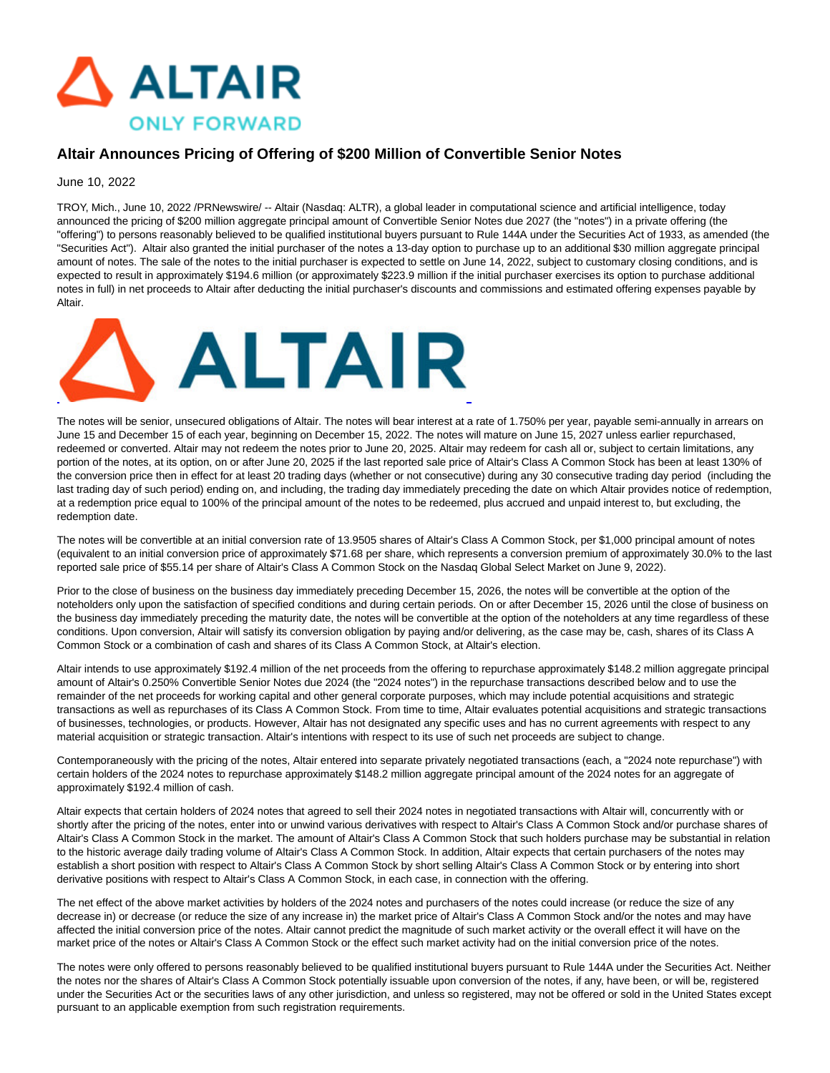

## **Altair Announces Pricing of Offering of \$200 Million of Convertible Senior Notes**

### June 10, 2022

TROY, Mich., June 10, 2022 /PRNewswire/ -- Altair (Nasdaq: ALTR), a global leader in computational science and artificial intelligence, today announced the pricing of \$200 million aggregate principal amount of Convertible Senior Notes due 2027 (the "notes") in a private offering (the "offering") to persons reasonably believed to be qualified institutional buyers pursuant to Rule 144A under the Securities Act of 1933, as amended (the "Securities Act"). Altair also granted the initial purchaser of the notes a 13-day option to purchase up to an additional \$30 million aggregate principal amount of notes. The sale of the notes to the initial purchaser is expected to settle on June 14, 2022, subject to customary closing conditions, and is expected to result in approximately \$194.6 million (or approximately \$223.9 million if the initial purchaser exercises its option to purchase additional notes in full) in net proceeds to Altair after deducting the initial purchaser's discounts and commissions and estimated offering expenses payable by Altair.



The notes will be senior, unsecured obligations of Altair. The notes will bear interest at a rate of 1.750% per year, payable semi-annually in arrears on June 15 and December 15 of each year, beginning on December 15, 2022. The notes will mature on June 15, 2027 unless earlier repurchased, redeemed or converted. Altair may not redeem the notes prior to June 20, 2025. Altair may redeem for cash all or, subject to certain limitations, any portion of the notes, at its option, on or after June 20, 2025 if the last reported sale price of Altair's Class A Common Stock has been at least 130% of the conversion price then in effect for at least 20 trading days (whether or not consecutive) during any 30 consecutive trading day period (including the last trading day of such period) ending on, and including, the trading day immediately preceding the date on which Altair provides notice of redemption, at a redemption price equal to 100% of the principal amount of the notes to be redeemed, plus accrued and unpaid interest to, but excluding, the redemption date.

The notes will be convertible at an initial conversion rate of 13.9505 shares of Altair's Class A Common Stock, per \$1,000 principal amount of notes (equivalent to an initial conversion price of approximately \$71.68 per share, which represents a conversion premium of approximately 30.0% to the last reported sale price of \$55.14 per share of Altair's Class A Common Stock on the Nasdaq Global Select Market on June 9, 2022).

Prior to the close of business on the business day immediately preceding December 15, 2026, the notes will be convertible at the option of the noteholders only upon the satisfaction of specified conditions and during certain periods. On or after December 15, 2026 until the close of business on the business day immediately preceding the maturity date, the notes will be convertible at the option of the noteholders at any time regardless of these conditions. Upon conversion, Altair will satisfy its conversion obligation by paying and/or delivering, as the case may be, cash, shares of its Class A Common Stock or a combination of cash and shares of its Class A Common Stock, at Altair's election.

Altair intends to use approximately \$192.4 million of the net proceeds from the offering to repurchase approximately \$148.2 million aggregate principal amount of Altair's 0.250% Convertible Senior Notes due 2024 (the "2024 notes") in the repurchase transactions described below and to use the remainder of the net proceeds for working capital and other general corporate purposes, which may include potential acquisitions and strategic transactions as well as repurchases of its Class A Common Stock. From time to time, Altair evaluates potential acquisitions and strategic transactions of businesses, technologies, or products. However, Altair has not designated any specific uses and has no current agreements with respect to any material acquisition or strategic transaction. Altair's intentions with respect to its use of such net proceeds are subject to change.

Contemporaneously with the pricing of the notes, Altair entered into separate privately negotiated transactions (each, a "2024 note repurchase") with certain holders of the 2024 notes to repurchase approximately \$148.2 million aggregate principal amount of the 2024 notes for an aggregate of approximately \$192.4 million of cash.

Altair expects that certain holders of 2024 notes that agreed to sell their 2024 notes in negotiated transactions with Altair will, concurrently with or shortly after the pricing of the notes, enter into or unwind various derivatives with respect to Altair's Class A Common Stock and/or purchase shares of Altair's Class A Common Stock in the market. The amount of Altair's Class A Common Stock that such holders purchase may be substantial in relation to the historic average daily trading volume of Altair's Class A Common Stock. In addition, Altair expects that certain purchasers of the notes may establish a short position with respect to Altair's Class A Common Stock by short selling Altair's Class A Common Stock or by entering into short derivative positions with respect to Altair's Class A Common Stock, in each case, in connection with the offering.

The net effect of the above market activities by holders of the 2024 notes and purchasers of the notes could increase (or reduce the size of any decrease in) or decrease (or reduce the size of any increase in) the market price of Altair's Class A Common Stock and/or the notes and may have affected the initial conversion price of the notes. Altair cannot predict the magnitude of such market activity or the overall effect it will have on the market price of the notes or Altair's Class A Common Stock or the effect such market activity had on the initial conversion price of the notes.

The notes were only offered to persons reasonably believed to be qualified institutional buyers pursuant to Rule 144A under the Securities Act. Neither the notes nor the shares of Altair's Class A Common Stock potentially issuable upon conversion of the notes, if any, have been, or will be, registered under the Securities Act or the securities laws of any other jurisdiction, and unless so registered, may not be offered or sold in the United States except pursuant to an applicable exemption from such registration requirements.